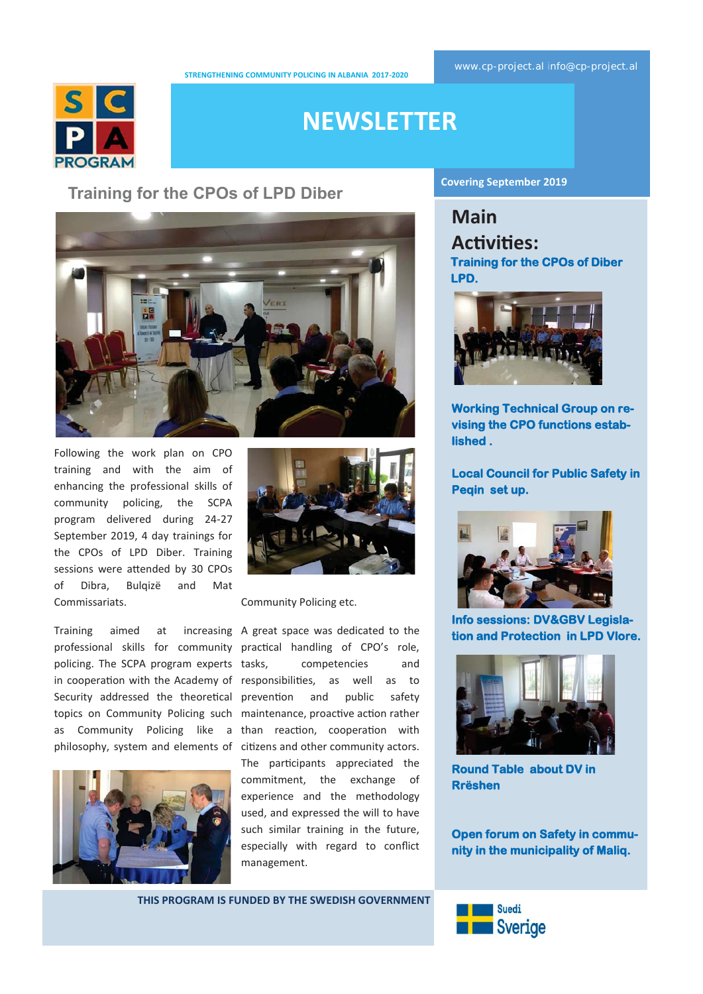**STRENGTHENING COMMUNITY POLICING IN ALBANIA 2017-2020** 



# **NEWSLETTER**

### **Training for the CPOs of LPD Diber**



Following the work plan on CPO training and with the aim of enhancing the professional skills of community policing, the SCPA program delivered during 24-27 September 2019, 4 day trainings for the CPOs of LPD Diber. Training sessions were attended by 30 CPOs of Dibra, Bulqizë and Mat Commissariats.

policing. The SCPA program experts tasks,





Community Policing etc.

Training aimed at increasing A great space was dedicated to the professional skills for community practical handling of CPO's role, in cooperation with the Academy of responsibilities, as well as to Security addressed the theoretical prevention and public safety topics on Community Policing such maintenance, proactive action rather as Community Policing like a than reaction, cooperation with philosophy, system and elements of citizens and other community actors. competencies and The participants appreciated the commitment, the exchange of experience and the methodology used, and expressed the will to have such similar training in the future, especially with regard to conflict management.

#### **Covering September 2019**

# **Main AcƟviƟes: Training for the CPOs of Diber LPD.**



**Working Technical Group on revising the CPO functions established .** 

**Local Council for Public Safety in Peqin set up.** 



**Info sessions: DV&GBV Legislation and Protection in LPD Vlore.** 



**Round Table about DV in Rrëshen** 

**Open forum on Safety in community in the municipality of Maliq.** 

**THIS PROGRAM IS FUNDED BY THE SWEDISH GOVERNMENT** 

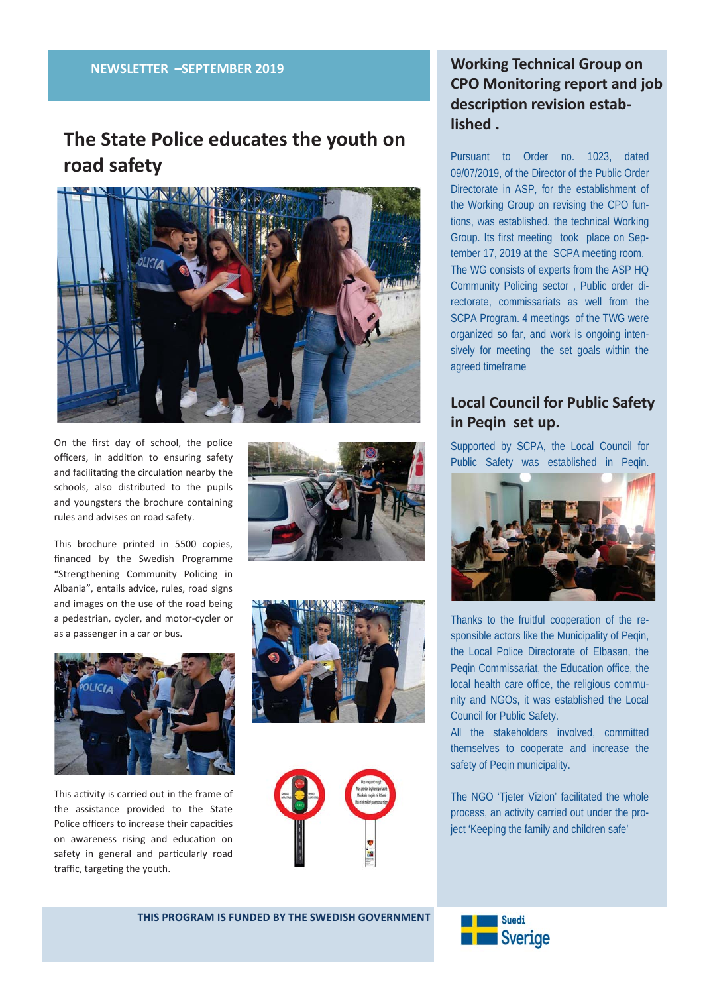### **NEWSLETTER –SEPTEMBER 2019**

# **The State Police educates the youth on road safety**



On the first day of school, the police officers, in addition to ensuring safety and facilitating the circulation nearby the schools, also distributed to the pupils and youngsters the brochure containing rules and advises on road safety.

This brochure printed in 5500 copies, financed by the Swedish Programme "Strengthening Community Policing in Albania", entails advice, rules, road signs and images on the use of the road being a pedestrian, cycler, and motor-cycler or as a passenger in a car or bus.



This activity is carried out in the frame of the assistance provided to the State Police officers to increase their capacities on awareness rising and education on safety in general and particularly road traffic, targeting the youth.







# **Working Technical Group on CPO Monitoring report and job**  description revision estab**lished .**

Pursuant to Order no. 1023, dated 09/07/2019, of the Director of the Public Order Directorate in ASP, for the establishment of the Working Group on revising the CPO funtions, was established. the technical Working Group. Its first meeting took place on September 17, 2019 at the SCPA meeting room. The WG consists of experts from the ASP HQ Community Policing sector , Public order directorate, commissariats as well from the SCPA Program. 4 meetings of the TWG were organized so far, and work is ongoing intensively for meeting the set goals within the agreed timeframe

## **Local Council for Public Safety in Peqin set up.**

Supported by SCPA, the Local Council for Public Safety was established in Peqin.



Thanks to the fruitful cooperation of the responsible actors like the Municipality of Peqin, the Local Police Directorate of Elbasan, the Peqin Commissariat, the Education office, the local health care office, the religious community and NGOs, it was established the Local Council for Public Safety.

All the stakeholders involved, committed themselves to cooperate and increase the safety of Peqin municipality.

The NGO 'Tjeter Vizion' facilitated the whole process, an activity carried out under the project 'Keeping the family and children safe'

**THIS PROGRAM IS FUNDED BY THE SWEDISH GOVERNMENT**